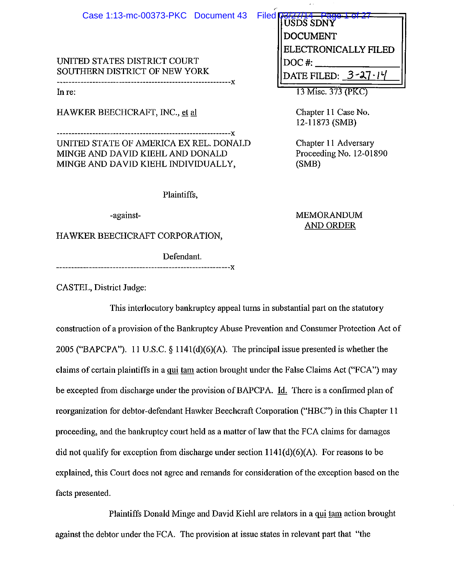UNITED STATES DISTRICT COURT SOUTHERN DISTRICT OF NEW YORK -\_\_\_\_\_\_\_\_\_\_\_\_\_\_\_\_\_\_\_\_\_\_\_\_\_\_\_\_\_\_\_\_\_\_\_\_\_\_\_\_\_\_\_\_\_\_\_\_\_\_\_\_\_ ----ox

Inre:

HAWKER BEECHCRAFT, INC., et al.

----------------------------------------------------------ox UNITED STATE OF AMERICA EX REL. DONALD MINGE AND DAVID KIEHL AND DONALD MINGE AND DAVID KIEHL INDIVIDUALLY,

Plaintiffs,

-against-

HAWKER BEECHCRAFT CORPORATION,

Defendant.

----------------------------------------------------------ox

CASTEL, District Judge:

This interlocutory bankruptcy appeal turns in substantial part on the statutory construction of a provision of the Bankruptcy Abuse Prevention and Consumer Protection Act of 2005 ("BAPCPA"). 11 U.S.C. § 1141 (d)(6)(A). The principal issue presented is whether the claims of certain plaintiffs in a qui tam action brought under the False Claims Act ("FCA") may be excepted from discharge under the provision of BAPCPA. Id. There is a confirmed plan of reorganization for debtor-defendant Hawker Beechcraft Corporation ("HBC") in this Chapter 11 proceeding, and the bankruptcy court held as a matter of law that the FCA claims for damages did not qualify for exception from discharge under section 1141(d)(6)(A). For reasons to be explained, this Court does not agree and remands for consideration of the exception based on the facts presented.

Plaintiffs Donald Minge and David Kiehl are relators in a qui tam action brought against the debtor under the FCA. The provision at issue states in relevant part that "the

| <b>USDS SDNY</b>       |
|------------------------|
| DOCUMENT               |
| ELECTRONICALLY FILED   |
| DOC#:                  |
| DATE FILED:<br>$3 - 2$ |
|                        |

13 Misc. 373 (PKC)

Chapter 11 Case No. 12-11873 (SMB)

Chapter 11 Adversary Proceeding No. 12-01890 (SMB)

MEMORANDUM AND ORDER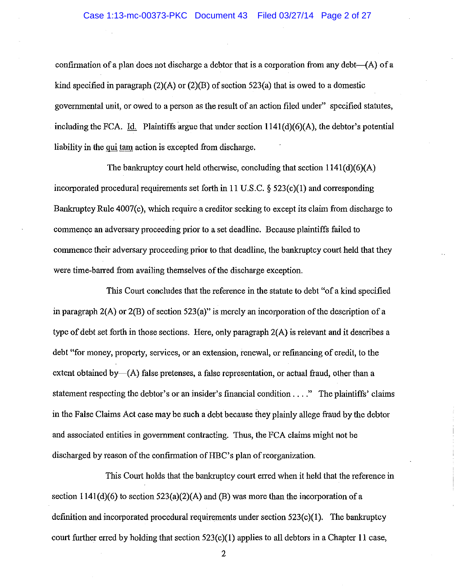confirmation of a plan does not discharge a debtor that is a corporation from any debt- $(A)$  of a kind specified in paragraph (2)(A) or (2)(B) of section 523(a) that is owed to a domestic govermnental unit, or owed to a person as the result of an action filed under" specified statutes, including the FCA. Id. Plaintiffs argue that under section 1141(d)(6)(A), the debtor's potential liability in the qui tam action is excepted from discharge.

The bankruptcy court held otherwise, concluding that section 1141(d)(6)(A) incorporated procedural requirements set forth in **11** U.S.C. § 523(c)(I) and corresponding Bankruptcy Rule 4007(c), which require a creditor seeking to except its claim from discharge to commence an adversary proceeding prior to a set deadline. Because plaintiffs failed to commence their adversary proceeding prior to that deadline, the bankruptcy court held that they were time-barred from availing themselves of the discharge exception.

This Court concludes that the reference in the statute to debt "of a kind specified in paragraph 2(A) or 2(B) of section 523(a)" is merely an incorporation of the description of a type of debt set forth in those sections. Here, only paragraph 2(A) is relevant and it describes a debt "for money, property, services, or an extension, renewal, or refmancing of credit, to the extent obtained by $-(A)$  false pretenses, a false representation, or actual fraud, other than a statement respecting the debtor's or an insider's financial condition .... " The plaintiffs' claims in the False Claims Act case may be such a debt because they plainly allege fraud by the debtor and associated entities in govermnent contracting. Thus, the FCA claims might not be discharged by reason of the confirmation of HBC's plan of reorganization.

This Court holds that the bankruptcy court erred when it held that the reference in section  $1141(d)(6)$  to section  $523(a)(2)(A)$  and  $(B)$  was more than the incorporation of a definition and incorporated procedural requirements under section 523(c)(I). The bankruptcy court further erred by holding that section 523(c)(I) applies to all debtors in a Chapter **11** case,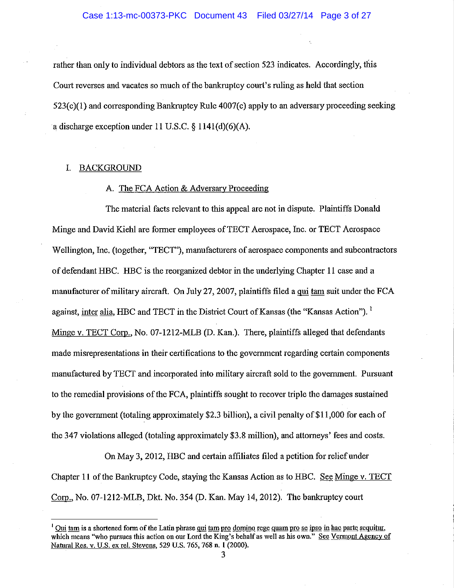rather than only to individual debtors as the text of section 523 indicates. Accordingly, this Court reverses and vacates so much of the bankruptcy court's ruling as held that section  $523(c)(1)$  and corresponding Bankruptcy Rule  $4007(c)$  apply to an adversary proceeding seeking a discharge exception under 11 U.S.C.  $\S$  1141(d)(6)(A).

#### I. BACKGROUND

## A. The FCA Action & Adversary Proceeding

The material facts relevant to this appeal are not in dispute. Plaintiffs Donald Minge and David Kiehl are former employees of TECT Aerospace, Inc. or TECT Aerospace Wellington, Inc. (together, "TECT"), manufacturers of aerospace components and subcontractors of defendant HBC. HBC is the reorganized debtor in the underlying Chapter 11 case and a manufacturer of military aircraft. On July 27, 2007, plaintiffs filed a qui tam suit under the FCA against, inter alia, HBC and TECT in the District Court of Kansas (the "Kansas Action").<sup>1</sup> Minge v. TECT Corp., No. 07-1212-MLB (D. Kan.). There, plaintiffs alleged that defendants made misrepresentations in their certifications to the government regarding certain components manufactured by TECT and incorporated into military aircraft sold to the government. Pursuant to the remedial provisions of the FCA, plaintiffs sought to recover triple the damages sustained by the government (totaling approximately \$2.3 billion), a civil penalty of\$11,000 for each of the 347 violations alleged (totaling approximately \$3.8 million), and attomeys' fees and costs.

On May 3,2012, HBC and certain affiliates filed a petition for relief under Chapter 11 of the Bankruptcy Code, staying the Kansas Action as to HBC. See Minge v. TECT Corp., No. 07-1212-MLB, Dkt. No. 354 (D. Kan. May 14,2012). The bankruptcy court

<sup>&</sup>lt;sup>I</sup> Qui tam is a shortened form of the Latin phrase qui tam pro domino rege quam pro se ipso in hac parte sequitur. which means "who pursues this action on our Lord the King's behalf as well as his own." See Vermont Agency of Natural Res. v. U.S. ex reI. Stevens, 529 U.S. 765, 768 n. I (2000).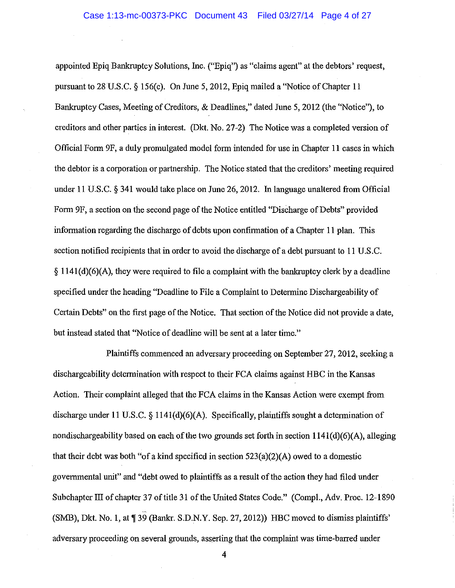appointed Epiq Bankruptcy Solutions, Inc. ("Epiq") as "claims agent" at the debtors' request, pursuant to 28 U.S.C.  $\S 156(c)$ . On June 5, 2012, Epiq mailed a "Notice of Chapter 11 Bankruptcy Cases, Meeting of Creditors, & Deadlines," dated June 5, 2012 (the "Notice"), to creditors and other parties in interest. (Dkt. No. 27-2) The Notice was a completed version of Official Form 9F, a duly promulgated model form intended for use in Chapter 11 cases in which the debtor is a corporation or partnership. The Notice stated that the creditors' meeting required under 11 U.S.C. § 341 would take place on June 26, 2012. In language unaltered from Official Form 9F, a section on the second page of the Notice entitled "Discharge of Debts" provided information regarding the discharge of debts upon confirmation of a Chapter 11 plan. This section notified recipients that in order to avoid the discharge of a debt pursuant to 11 U.S.C.  $§$  1141(d)(6)(A), they were required to file a complaint with the bankruptcy clerk by a deadline specified under the heading "Deadline to File a Complaint to Determine Dischargeability of Certain Debts" on the first page of the Notice. That section of the Notice did not provide a date, but instead stated that "Notice of deadline will be sent at a later time."

Plaintiffs commenced an adversary proceeding on September 27,2012, seeking a dischargeability determination with respect to their FCA claims against HBC in the Kansas Action. Their complaint alleged that the FCA claims in the Kansas Action were exempt from discharge under 11 U.S.C. § 1141(d)(6)(A). Specifically, plaintiffs sought a determination of nondischargeability based on each of the two grounds set forth in section  $1141(d)(6)(A)$ , alleging that their debt was both "of a kind specified in section  $523(a)(2)(A)$  owed to a domestic govermnental unit" and "debt owed to plaintiffs as a result of the action they had filed under Subchapter III of chapter 37 of title 31 of the United States Code." (Compl., Adv. Proc. 12-1890 (SMB), Dkt. No. 1, at ¶ 39 (Bankr. S.D.N.Y. Sep. 27, 2012)) HBC moved to dismiss plaintiffs' adversary proceeding on several grounds, asserting that the complaint was time-barred under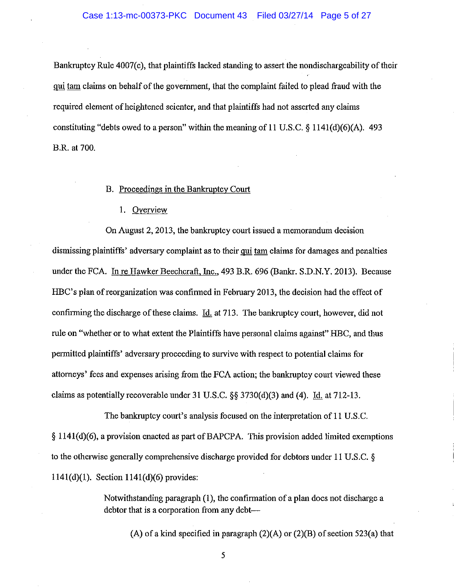#### Case 1:13-mc-00373-PKC Document 43 Filed 03/27/14 Page 5 of 27

Bankruptcy Rule 4007(c), that plaintiffs lacked standing to assert the nondischargeability of their qui tam claims on behalf of the government, that the complaint failed to plead fraud with the required element of heightened scienter, and that plaintiffs had not asserted any claims constituting "debts owed to a person" within the meaning of **11** U.S.C. § 1141(d)(6)(A). 493 B.R. at 700.

#### B. Proceedings in the Bankruptcy Court

## 1. Overview

On August 2, 2013, the bankruptcy court issued a memorandum decision dismissing plaintiffs' adversary complaint as to their qui tam claims for damages and penalties under the FCA. In re Hawker Beechcraft, Inc., 493 B.R. 696 (Bankr. S.D.N.Y. 2013). Because HBC's plan of reorganization was confirmed in February 2013, the decision had the effect of confirming the discharge of these claims. Id. at 713. The bankruptcy court, however, did not rule on "whether or to what extent the Plaintiffs have personal claims against" HBC, and thus permitted plaintiffs' adversary proceeding to survive with respect to potential claims for attorneys' fees and expenses arising from the FCA action; the bankruptcy court viewed these claims as potentially recoverable under 31 U.S.C.  $\S$ § 3730(d)(3) and (4). Id. at 712-13.

The bankruptcy court's analysis focused on the interpretation of **11** U.S.C. § 1141(d)(6), a provision enacted as part of BAPCPA. This provision added limited exemptions to the otherwise generally comprehensive discharge provided for debtors under **11** U.S.C. § 1141(d)(I). Section 1141(d)(6) provides:

> Notwithstanding paragraph (1), the confirmation of a plan does not discharge a debtor that is a corporation from any debt--

(A) of a kind specified in paragraph  $(2)(A)$  or  $(2)(B)$  of section 523(a) that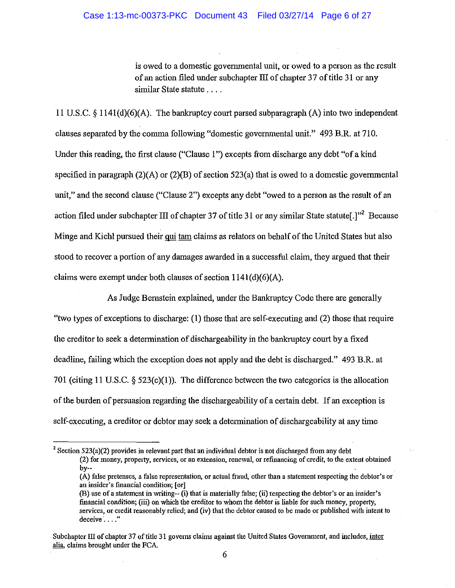is owed to a domestic governmental unit, or owed to a person as the result of an action filed under subchapter III of chapter 37 of title 31 or any similar State statute ....

11 U.S.C.  $\S$  1141(d)(6)(A). The bankruptcy court parsed subparagraph (A) into two independent clauses separated by the comma following "domestic governmental unit." 493 B.R. at 710. Under this reading, the first clause ("Clause 1") excepts from discharge any debt "of a kind specified in paragraph  $(2)(A)$  or  $(2)(B)$  of section 523(a) that is owed to a domestic governmental unit," and the second clause ("Clause 2") excepts any debt "owed to a person as the result of an action filed under subchapter III of chapter 37 of title 31 or any similar State statute.]"<sup>2</sup> Because Minge and Kiehl pursued their qui tam claims as relators on behalf of the United States but also stood to recover a portion of any damages awarded in a successful claim, they argued that their claims were exempt under both clauses of section 1141(d)(6)(A).

As Judge Bernstein explained, under the Bankruptcy Code there are generally "two types of exceptions to discharge: (1) those that are self-executing and (2) those that require the creditor to seek a determination of dischargeability in the bankruptcy court by a fixed deadline, failing which the exception does not apply and the debt is discharged." 493 B.R. at 701 (citing 11 U.S.C.  $\S$  523(c)(1)). The difference between the two categories is the allocation of the burden of persuasion regarding the dischargeability of a certain debt. If an exception is self-executing, a creditor or debtor may seek a determination of dischargeability at any time

<sup>&</sup>lt;sup>2</sup> Section 523(a)(2) provides in relevant part that an individual debtor is not discharged from any debt **(2) for money, property, services, or an extension, renewal, or refinancing of credit, to the extent obtained**  by--

<sup>(</sup>A) false pretenses, a false representation, or actual fraud, other than a statement respecting the debtor's or an insider's fmancial condition; [or 1

<sup>(</sup>B) use ofa statement in writing-- (i) that is materially false; (ii) respecting the debtor's or an insider's financial condition; (iii) on which the creditor to whom the debtor is liable for such money, property, services, or credit reasonably relied; and (iv) that the debtor caused to be made or published with intent to deceive . . . . **"** 

Subchapter III of chapter 37 of title 31 governs claims against the United States Government, and includes, inter alia, claims brought under the FCA.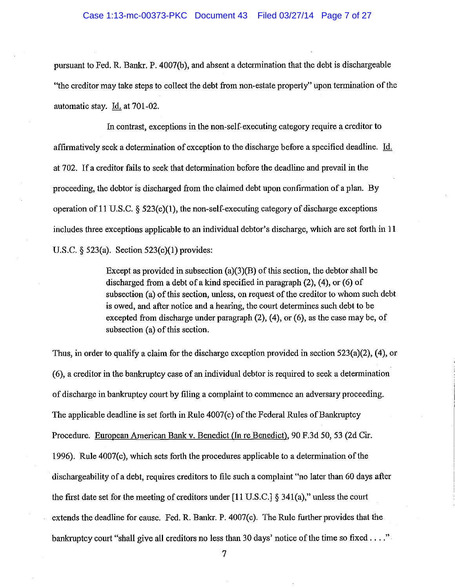pursuant to Fed. R. Bankr. P. 4007(b), and absent a detennination that the debt is dischargeable "the creditor may take steps to collect the debt from non-estate property" upon termination of the automatic stay. Id. at 701-02.

In contrast, exceptions in the non-self-executing category require a creditor to affinnatively seek a determination of exception to the discharge before a specified deadline. Id. at 702. If a creditor fails to seek that detennination before the deadline and prevail in the proceeding, the debtor is discharged from the claimed debt upon confinnation of a plan. By operation of 11 U.S.C. § 523(c)(I), the non-self-executing category of discharge exceptions includes three exceptions applicable to an individual debtor's discharge, which are set forth in 11 U.S.C. § 523(a). Section 523(c)(1) provides:

> Except as provided in subsection  $(a)(3)(B)$  of this section, the debtor shall be discharged from a debt of a kind specified in paragraph (2), (4), or (6) of subsection (a) of this section, unless, on request of the creditor to whom such debt is owed, and after notice and a hearing, the court detennines such debt to be excepted from discharge under paragraph (2), (4), or (6), as the case may be, of subsection (a) of this section.

Thus, in order to qualify a claim for the discharge exception provided in section 523(a)(2), (4), or (6), a creditor in the bankruptcy case of an individual debtor is required to seek a detennination of discharge in bankruptcy court by filing a complaint to commence an adversary proceeding. The applicable deadline is set forth in Rule 4007(c) of the Federal Rules of Bankruptcy Procedure. European American Bank v. Benedict (In re Benedict). 90 F.3d 50, 53 (2d Cir. 1996). Rule 4007(c), which sets forth the procedures applicable to a detennination of the dischargeability of a debt, requires creditors to file such a complaint "no later than 60 days after the first date set for the meeting of creditors under [11 U.S.C.] § 341(a)," unless the court extends the deadline for cause. Fed. R. Bankr. P. 4007(c). The Rule further provides that the bankruptcy court "shall give all creditors no less than 30 days' notice of the time so fixed . . . ."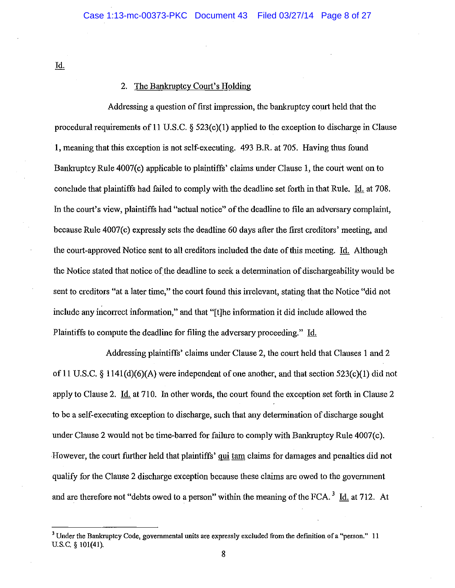Id.

## 2. The Bankruptcy Court's Holding

Addressing a question of first impression, the bankruptcy court held that the procedural requirements of 11 U.S.C. § 523(c)(1) applied to the exception to discharge in Clause I, meaning that this exception is not self-executing. 493 B.R. at 705. Having thus found Bankruptcy Rule 4007(c) applicable to plaintiffs' claims under Clause 1, the court went on to conclude that plaintiffs had failed to comply with the deadline set forth in that Rule. Id. at 708. In the court's view, plaintiffs had "actual notice" of the deadline to file an adversary complaint, because Rule 4007(c) expressly sets the deadline 60 days after the first creditors' meeting, and the court-approved Notice sent to all creditors included the date of this meeting. Id. Although the Notice stated that notice of the deadline to seek a determination of dischargeability would be sent to creditors "at a later time," the court found this irrelevant, stating that the Notice "did not include any incorrect information," and that "[t]he information it did include allowed the Plaintiffs to compute the deadline for filing the adversary proceeding." Id.

Addressing plaintiffs' claims under Clause 2, the court held that Clauses I and 2 of 11 U.S.C. § 1141(d)(6)(A) were independent of one another, and that section  $523(c)(1)$  did not apply to Clause 2.  $\underline{Id}$  at 710. In other words, the court found the exception set forth in Clause 2 to be a self-executing exception to discharge, such that any determination of discharge sought under Clause 2 would not be time-barred for failure to comply with Bankruptcy Rule 4007(c). However, the court further held that plaintiffs' qui tam claims for damages and penalties did not qualify for the Clause 2 discharge exception because these claims are owed to the government and are therefore not "debts owed to a person" within the meaning of the FCA.  $3 \text{ Id.}$  at 712. At

<sup>&</sup>lt;sup>3</sup> Under the Bankruptcy Code, governmental units are expressly excluded from the definition of a "person." 11 u.S.C. § 101(41).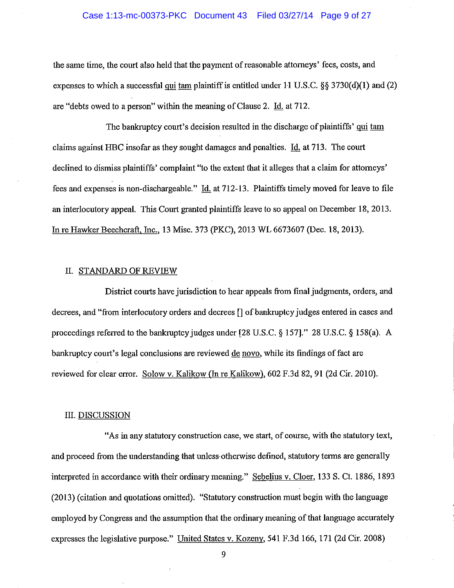the same time, the court also held that the payment of reasonable attorneys' fees, costs, and expenses to which a successful qui tam plaintiff is entitled under 11 U.S.C.  $\S$ § 3730(d)(1) and (2) are "debts owed to a person" within the meaning of Clause 2. Id. at 712.

The bankruptcy court's decision resulted in the discharge of plaintiffs' qui tam claims against HBC insofar as they sought damages and penalties. Id. at 713. The court declined to dismiss plaintiffs' complaint "to the extent that it alleges that a claim for attorneys' fees and expenses is non-dischargeable." Id. at 712-13. Plaintiffs timely moved for leave to file an interlocutory appeal. This Court granted plaintiffs leave to so appeal on December 18, 2013. In re Hawker Beechcraft, Inc., 13 Misc. 373 (PKC), 2013 WL 6673607 (Dec. 18,2013).

## II. STANDARD OF REVIEW

District courts have jurisdiction to hear appeals from final judgments, orders, and decrees, and "from interlocutory orders and decrees [] of bankruptcy judges entered in cases and proceedings referred to the bankruptcy judges under [28 U.S.C. § 157)." 28 U.S.C. § 158(a). A bankruptcy court's legal conclusions are reviewed de novo, while its fmdings of fact are reviewed for clear error. Solow v. Kalikow (In re Kalikow), 602 F.3d 82, 91 (2d Cir. 2010).

#### ill. DISCUSSION

"As in any statutory construction case, we start, of course, with the statutory text, and proceed from the understanding that unless otherwise defined, statutory terms are generally interpreted in accordance with their ordinary meaning." Sebelius v. Cloer, 133 S. Ct. 1886, 1893  $(2013)$  (citation and quotations omitted). "Statutory construction must begin with the language employed by Congress and the assumption that the ordinary meaning of that language accurately expresses the legislative purpose." United States v. Kozeny, 541 F.3d 166, 171 (2d Cir. 2008)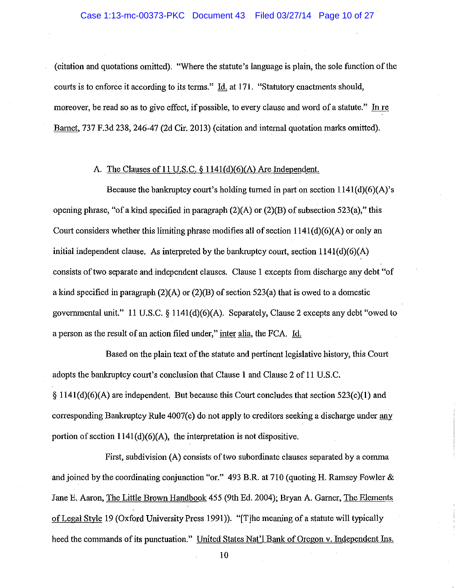(citation and quotations omitted). "Where the statute's language is plain, the sole function of the courts is to enforce it according to its terms." Id. at 171. "Statutory enactments should, moreover, be read so as to give effect, if possible, to every clause and word of a statute." In re Barnet, 737 F.3d 238, 246-47 (2d Cir. 2013) (citation and internal quotation marks omitted).

## A. The Clauses of 11 U.S.C. § 1141(d)(6)(A) Are Independent.

Because the bankruptcy court's holding turned in part on section  $1141(d)(6)(A)$ 's opening phrase, "of a kind specified in paragraph (2)(A) or (2)(B) of subsection 523(a)," this Court considers whether this limiting phrase modifies all of section 1141(d)(6)(A) or only an initial independent clause. As interpreted by the bankruptcy court, section  $1141(d)(6)(A)$ consists of two separate and independent clauses. Clause 1 excepts from discharge any debt "of a kind specified in paragraph  $(2)(A)$  or  $(2)(B)$  of section 523(a) that is owed to a domestic govermnental unit." 11 U.S.C. § 1141 (d)(6)(A). Separately, Clause 2 excepts any debt "owed to a person as the result of an action filed under," inter alia, the FCA. Id.

Based on the plain text of the statute and pertinent legislative history, this Court adopts the bankruptcy court's conclusion that Clause 1 and Clause 2 of 11 U.S.C.  $\S 1141(d)(6)(A)$  are independent. But because this Court concludes that section 523(c)(1) and corresponding Bankruptcy Rule 4007(c) do not apply to creditors seeking a discharge under any portion of section  $1141(d)(6)(A)$ , the interpretation is not dispositive.

First, subdivision (A) consists of two subordinate clauses separated by a comma and joined by the coordinating conjunction "or." 493 B.R. at 710 (quoting H. Ramsey Fowler & Jane E. Aaron, The Little Brown Handbook 455 (9th Ed. 2004); Bryan A. Gamer, The Elements of Legal Style 19 (Oxford University Press 1991)). "[The meaning of a statute will typically heed the commands of its punctuation." United States Nat'l Bank of Oregon v. Independent Ins.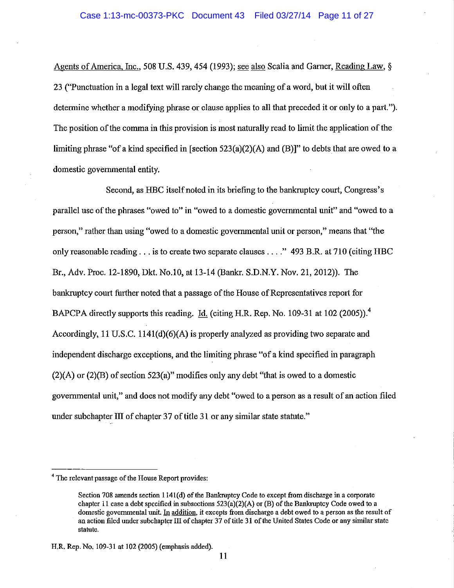Agents of America, Inc., 508 U.S. 439, 454 (1993); see also Scalia and Garner, Reading Law, § 23 ("Punctnation in a legal text will rarely change the meaning of a word, but it will often determine whether a modifying phrase or clause applies to all that preceded it or only to a part."). The position of the comma in this provision is most natnrally read to limit the application of the limiting phrase "of a kind specified in [section  $523(a)(2)(A)$  and  $(B)$ ]" to debts that are owed to a domestic governmental entity.

Second, as HBC itself noted in its briefing to the bankruptcy court, Congress's parallel use of the phrases "owed to" in "owed to a domestic governmental unit" and "owed to a person," rather than using "owed to a domestic governmental unit or person," means that "the only reasonable reading . . . is to create two separate clauses . . . ." 493 B.R. at 710 (citing HBC Br., Adv. Proc. 12-1890, Dkt. No.10, at 13-14 (Bankr. S.D.N.Y. Nov. 21, 2012)). The bankruptcy court further noted that a passage of the House of Representatives report for BAPCPA directly supports this reading. Id. (citing H.R. Rep. No. 109-31 at 102 (2005)).<sup>4</sup> Accordingly, 11 U.S.C. 1141(d)(6)(A) is properly analyzed as providing two separate and independent discharge exceptions, and the limiting phrase "of a kind specified in paragraph (2)(A) or (2)(B) of section 523(a)" modifies only any debt "that is owed to a domestic governmental unit," and does not modify any debt "owed to a person as a result of an action filed under subchapter III of chapter 37 of title 31 or any similar state statute."

<sup>&</sup>lt;sup>4</sup> The relevant passage of the House Report provides:

Section 708 amends section 1141(d) of the Bankruptcy Code to except from discharge in a corporate chapter 11 case a debt specified in subsections  $523(a)(2)(A)$  or (B) of the Bankruptcy Code owed to a domestic govermnental unit. In addition. it excepts from discharge a debt owed to a person as the result of an action filed under subchapter III of chapter 37 of title 31 of the United States Code or any similar state statute.

H.R. Rep. No. 109-31 at 102 (2005) (emphasis added).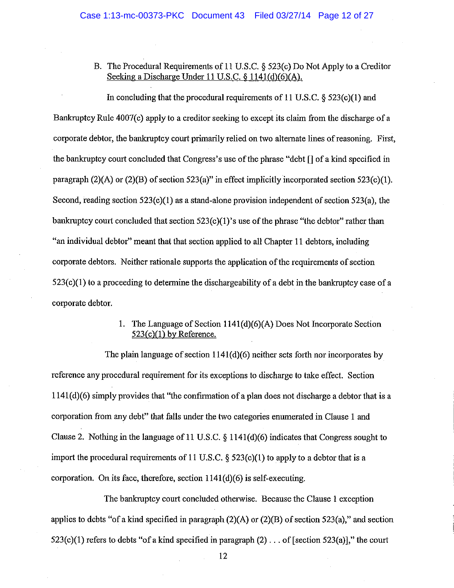B. The Procedural Requirements of II U.S.C. § 523(c) Do Not Apply to a Creditor Seeking a Discharge Under 11 U.S.C. § 1141(d)(6)(A).

In concluding that the procedural requirements of 11 U.S.C. § 523(c)(1) and Bankruptcy Rule 4007(c) apply to a creditor seeking to except its claim from the discharge of a corporate debtor, the bankruptcy court primarily relied on two alternate lines of reasoning. First, the bankruptcy court concluded that Congress's use of the phrase "debt [) of a kind specified in paragraph  $(2)(A)$  or  $(2)(B)$  of section 523(a)" in effect implicitly incorporated section 523(c)(1). Second, reading section 523(c)(I) as a stand-alone provision independent of section 523(a), the bankruptcy court concluded that section 523(c)(1)'s use of the phrase "the debtor" rather than "an individual debtor" meant that that section applied to all Chapter II debtors, including corporate debtors. Neither rationale supports the application of the requirements of section  $523(c)(1)$  to a proceeding to determine the dischargeability of a debt in the bankruptcy case of a corporate debtor.

> I. The Language of Section I 141 (d)(6)(A) Does Not Incorporate Section  $523(c)(1)$  by Reference.

The plain language of section 1141(d)(6) neither sets forth nor incorporates by reference any procedural requirement for its exceptions to discharge to take effect. Section 1141(d)(6) simply provides that "the confirmation of a plan does not discharge a debtor that is a corporation from any debt" that falls under the two categories enumerated in Clause I and Clause 2. Nothing in the language of II U.S.C. § I 141 (d)(6) indicates that Congress sought to import the procedural requirements of 11 U.S.C.  $\S$  523(c)(1) to apply to a debtor that is a corporation. On its face, therefore, section  $1141(d)(6)$  is self-executing.

The bankruptcy court concluded otherwise. Because the Clause I exception applies to debts "of a kind specified in paragraph  $(2)(A)$  or  $(2)(B)$  of section 523(a)," and section  $523(c)(1)$  refers to debts "of a kind specified in paragraph  $(2)$ ... of [section  $523(a)$ ]," the court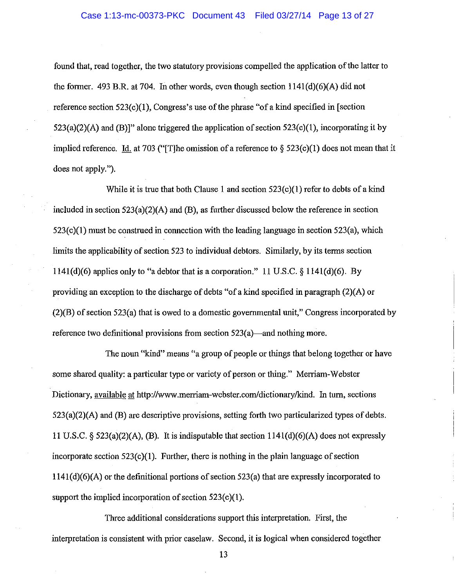found that, read together, the two statutory provisions compelled the application of the latter to the former. 493 B.R. at 704. In other words, even though section 1141(d)(6)(A) did not reference section  $523(c)(1)$ , Congress's use of the phrase "of a kind specified in [section  $523(a)(2)(A)$  and  $(B)$ ]" alone triggered the application of section  $523(c)(1)$ , incorporating it by implied reference. Id. at 703 ("The omission of a reference to  $\S$  523(c)(1) does not mean that it does not apply.").

While it is true that both Clause 1 and section  $523(c)(1)$  refer to debts of a kind included in section 523(a)(2)(A) and (B), as further discussed below the reference in section  $523(c)(1)$  must be construed in connection with the leading language in section  $523(a)$ , which limits the applicability of section 523 to individual debtors. Similarly, by its terms section 1141(d)(6) applies only to "a debtor that is a corporation." 11 U.S.C. § 1141(d)(6). By providing an exception to the discharge of debts "of a kind specified in paragraph (2)(A) or (2)(B) of section 523(a) that is owed to a domestic governmental unit," Congress incorporated by reference two definitional provisions from section  $523(a)$ —and nothing more.

The noun "kind" means "a group of people or things that belong together or have some shared quality: a particular type or variety of person or thing." Merriam-Webster Dictionary, available at http://www.merriam-webster.com/dictionary/kind. In turn, sections 523(a)(2)(A) and (B) are descriptive provisions, setting forth two particularized types of debts. 11 U.S.C.  $\S 523(a)(2)(A)$ , (B). It is indisputable that section 1141(d)(6)(A) does not expressly incorporate section  $523(c)(1)$ . Further, there is nothing in the plain language of section  $1141(d)(6)(A)$  or the definitional portions of section 523(a) that are expressly incorporated to support the implied incorporation of section 523(c)(1).

Three additional considerations support this interpretation. First, the interpretation is consistent with prior caselaw. Second, it is logical when considered together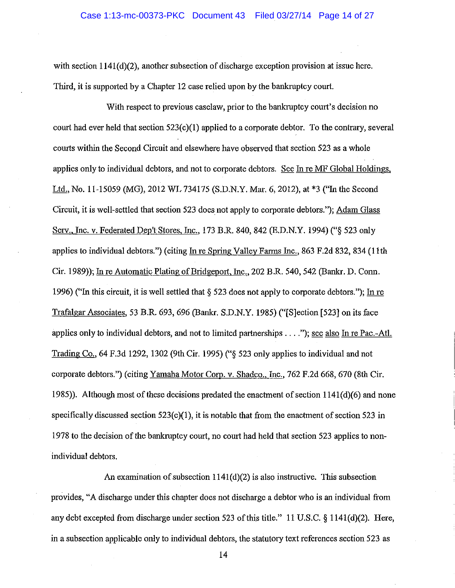with section  $1141(d)(2)$ , another subsection of discharge exception provision at issue here. Third, it is supported by a Chapter 12 case relied upon by the bankruptcy court.

With respect to previous caselaw, prior to the bankruptcy court's decision no court had ever held that section 523(c)(I) applied to a corporate debtor. To the contrary, several courts within the Second Circuit and elsewhere have observed that section 523 as a whole applies only to individual debtors, and not to corporate debtors. See In re MF Global Holdings. Ltd., No. 11-15059 (MG), 2012 WL 734175 (S.D.N.Y. Mar. 6,2012), at \*3 ("In the Second Circuit, it is well-settled that section 523 does not apply to corporate debtors."); Adam Glass Serv., Inc. v. Federated Dep't Stores, Inc., 173 B.R. 840, 842 (E.D.N.Y. 1994) ("§ 523 only applies to individual debtors.") (citing In re Spring Valley Farms Inc., 863 F.2d 832, 834 (11th Cir. 1989)); In re Automatic Plating of Bridgeport, Inc., 202 B.R. 540,542 (Bankr. D. Conn. 1996) ("In this circuit, it is well settled that  $\S$  523 does not apply to corporate debtors."); In re Trafalgar Associates, 53 B.R. 693, 696 (Bankr. S.D.N.Y. 1985) ("[S]ection [523] on its face applies only to individual debtors, and not to limited partnerships .... "); see also In re Pac.-Atl. Trading Co., 64 F.3d 1292, 1302 (9th Cir. 1995) ("§ 523 only applies to individual and not corporate debtors.") (citing Yamaha Motor Corp. v. Shadco., Inc., 762 F.2d 668, 670 (8th Cir. 1985)). Although most of these decisions predated the enactment of section 1141(d)(6) and none specifically discussed section  $523(c)(1)$ , it is notable that from the enactment of section 523 in 1978 to the decision of the bankruptcy court, no court had held that section 523 applies to nonindividual debtors.

An examination of subsection  $1141(d)(2)$  is also instructive. This subsection provides, "A discharge under this chapter does not discharge a debtor who is an individual from any debt excepted from discharge under section 523 of this title." II U.S.C. § 1141(d)(2). Here, in a subsection applicable only to individual debtors, the statutory text references section 523 as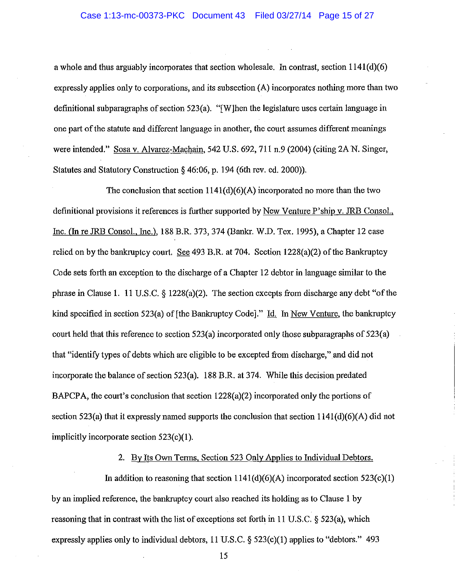a whole and thus arguably incorporates that section wholesale. In contrast, section  $1141(d)(6)$ expressly applies only to corporations, and its subsection (A) incorporates nothing more than two definitional subparagraphs of section 523(a). "[W]hen the legislature uses certain language in one part of the statute and different language in another, the court assumes different meanings were intended." Sosa v. Alvarez-Machain, 542 U.S. 692, 711 n.9 (2004) (citing 2A N. Singer, Statutes and Statutory Construction § 46:06, p. 194 (6th rev. ed. 2000».

The conclusion that section  $1141(d)(6)(A)$  incorporated no more than the two definitional provisions it references is further supported by New Venture P'ship v. JRB Consol., Inc. (In re JRB Consol., Inc.), 188 B.R. 373, 374 (Bankr. W.D. Tex. 1995), a Chapter 12 case relied on by the bankruptcy court. See 493 B.R. at 704. Section 1228(a)(2) of the Bankruptcy Code sets forth an exception to the discharge of a Chapter 12 debtor in language similar to the phrase in Clause 1. 11 U.S.C. § 1228(a)(2). The section excepts from discharge any debt "of the kind specified in section 523(a) of [the Bankruptcy Code]." Id. In New Venture, the bankruptcy court held that this reference to section 523(a) incorporated only those subparagraphs of 523(a) that "identify types of debts which are eligible to be excepted from discharge," and did not incorporate the balance of section 523(a). 188 B.R. at 374. While this decision predated BAPCPA, the court's conclusion that section 1228(a)(2) incorporated only the portions of section 523(a) that it expressly named supports the conclusion that section 1141(d)(6)(A) did not implicitly incorporate section 523(c)(I).

## 2. By Its Own Terms, Section 523 Only Applies to Individual Debtors.

In addition to reasoning that section  $1141(d)(6)(A)$  incorporated section  $523(c)(1)$ by an implied reference, the bankruptcy court also reached its holding as to Clause 1 by reasoning that in contrast with the list of exceptions set forth in 11 U.S.C. § 523(a), which expressly applies only to individual debtors,  $11$  U.S.C. § 523(c)(1) applies to "debtors." 493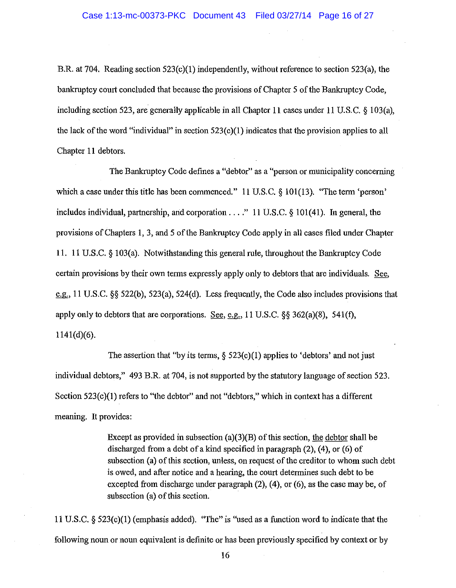B.R. at 704. Reading section 523(c)(1) independently, without reference to section 523(a), the bankruptcy court concluded that because the provisions of Chapter 5 of the Bankruptcy Code, including section 523, are generally applicable in all Chapter 11 cases under 11 U.S.c. § 103(a), the lack of the word "individual" in section 523(c)(I) indicates that the provision applies to all Chapter **11** debtors.

The Bankruptcy Code defines a "debtor" as a "person or municipality concerning which a case under this title has been commenced." 11 U.S.C. § 101(13). "The term 'person' includes individual, partnership, and corporation .... " 11 U.S.C. § 101(41). In general, the provisions of Chapters 1, 3, and 5 of the Bankruptcy Code apply in all cases filed under Chapter **11.** 11 U.S.C. § 103(a). Notwithstanding this general rule, throughout the Bankruptcy Code certain provisions by their own terms expressly apply only to debtors that are individuals. See, e.g., 11 U.S.C. §§ 522(b), 523(a), 524(d). Less frequently, the Code also includes provisions that apply only to debtors that are corporations. See, e.g., 11 U.S.C.  $\S 362(a)(8)$ , 541(f), 1141(d)(6).

The assertion that "by its terms,  $\S$  523(c)(1) applies to 'debtors' and not just individual debtors," 493 B.R. at 704, is not supported by the statutory language of section 523. Section 523(c)(1) refers to "the debtor" and not "debtors," which in context has a different meaning. It provides:

> Except as provided in subsection (a)(3)(B) of this section, the debtor shall be discharged from a debt of a kind specified in paragraph (2), (4), or (6) of subsection (a) of this section, unless, on request of the creditor to whom such debt is owed, and after notice and a hearing, the court determines such debt to be excepted from discharge under paragraph (2), (4), or (6), as the case may be, of subsection (a) of this section.

11 U.S.C. § 523(c)(I) (emphasis added). "The"is "used as a function word to indicate that the following noun or noun equivalent is definite or has been previously specified by context or by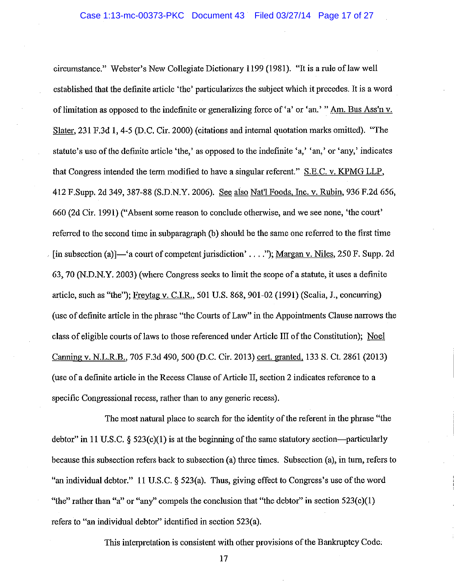circumstance." Webster's New Collegiate Dictionary 1199 (1981). "It is a rule oflaw well established that the definite article 'the' particularizes the subject which it precedes. It is a word of limitation as opposed to the indefinite or generalizing force of 'a' or 'an.' " Am. Bus Ass'n v. Slater, 231 F.3d 1, 4-5 (D.C. Cir. 2000) (citations and internal quotation marks omitted). "The statute's use of the definite article 'the,' as opposed to the indefinite 'a,' 'an,' or 'any,' indicates that Congress intended the term modified to have a singular referent." S.E.C. v. KPMG LLP, 412 F.Supp. 2d 349, 387-88 (S.D.N.Y. 2006). See also Nat'l Foods, Inc. v. Rubin, 936 F.2d 656, 660 (2d Cir. 1991) ("Absent some reason to conclude otherwise, and we see none, 'the court' referred to the second time in subparagraph (b) should be the same one referred to the first time [in subsection (a)]—'a court of competent jurisdiction' .... "); Margan v. Niles, 250 F. Supp. 2d 63, 70 (N.D.N.Y. 2003) (where Congress seeks to limit the scope of a statute, it uses a definite article, such as "the"); Freytag v. C.I.R., 501 U.S. 868,901-02 (1991) (Scalia, J., concurring) (use of definite article in the phrase "the Courts of Law" in the Appointments Clause narrows the class of eligible courts of laws to those referenced under Article III of the Constitution); Noel Canning v. N.L.R.B., 705 F.3d 490, 500 (D.C. Cir. 2013) cert. granted, 133 S. Ct. 2861 (2013) (use of a defmite article in the Recess Clause of Article II, section 2 indicates reference to a specific Congressional recess, rather than to any generic recess).

The most natural place to search for the identity of the referent in the phrase "the debtor" in 11 U.S.C.  $\S$  523(c)(1) is at the beginning of the same statutory section—particularly because this subsection refers back to subsection (a) three times. Subsection (a), in turn, refers to "an individual debtor." 11 U.S.C. § 523(a). Thus, giving effect to Congress's use of the word "the" rather than "a" or "any" compels the conclusion that "the debtor" in section  $523(c)(1)$ refers to "an individual debtor" identified in section 523(a).

This interpretation is consistent with other provisions of the Bankruptcy Code;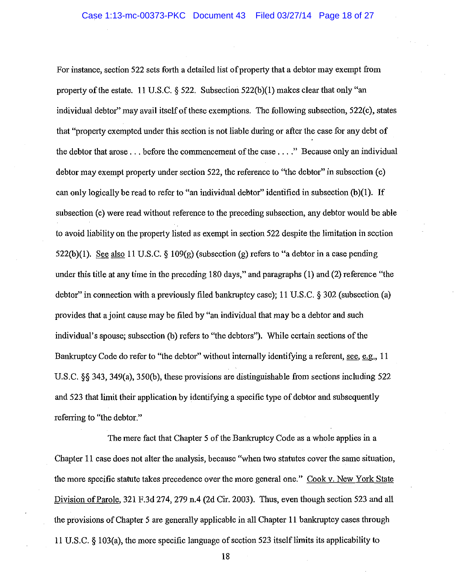For instance, section 522 sets forth a detailed list of property that a debtor may exempt from property of the estate. 11 U.S.C.  $\S$  522. Subsection 522(b)(1) makes clear that only "an individual debtor" may avail itself of these exemptions. The following subsection, 522(c), states that "property exempted under this section is not liable during or after the case for any debt of the debtor that arose ... before the commencement of the case .... " Because only an individual debtor may exempt property under section 522, the reference to "the debtor" in subsection (c) can only logically be read to refer to "an individual debtor" identified in subsection (b)(1). If subsection (c) were read without reference to the preceding subsection, any debtor would be able to avoid liability on the property listed as exempt in section 522 despite the limitation in section 522(b)(1). See also 11 U.S.C.  $\S$  109(g) (subsection (g) refers to "a debtor in a case pending under this title at any time in the preceding 180 days," and paragraphs (1) and (2) reference "the debtor" in connection with a previously filed bankruptcy case); 11 U.S.C. § 302 (subsection (a) provides that a joint cause may be filed by "an individual that may be a debtor and such individual's spouse; subsection (b) refers to "the debtors"). While certain sections of the Bankruptcy Code do refer to "the debtor" without internally identifying a referent, see, e.g., 11 U.S.C. §§ 343, 349(a), 350(b), these provisions are distinguishable from sections including 522 and 523 that limit their application by identifying a specific type of debtor and subsequently referring to "the debtor."

The mere fact that Chapter 5 of the Bankruptcy Code as a whole applies in a Chapter 11 case does not alter the analysis, because "when two statutes cover the same situation, the more specific statute takes precedence over the more general one." Cook v. New York State Division of Parole, 321 F.3d 274, 279 n.4 (2d Cir. 2003). Thus, even though section 523 and all the provisions of Chapter 5 are generally applicable in all Chapter 11 bankruptcy cases through 11 U.S.C. § 103(a), the more specific language of section 523 itself1imits its applicability to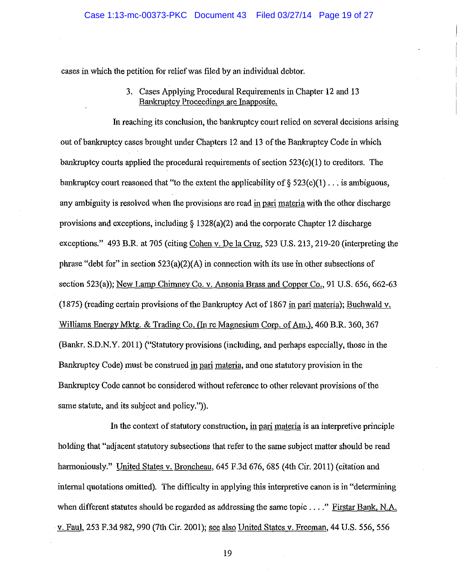cases in which the petition for relief was filed by an individual debtor.

3. Cases Applying Procedural Requirements in Chapter 12 and 13 Bankruptcy Proceedings are Inapposite.

In reaching its conclusion, the bankruptcy court relied on several decisions arising out of bankruptcy cases brought under Chapters 12 and 13 of the Bankruptcy Code in which bankruptcy courts applied the procedural requirements of section 523(c)(1) to creditors. The bankruptcy court reasoned that "to the extent the applicability of  $\S 523(c)(1)$ ... is ambiguous, any ambiguity is resolved when the provisions are read in pari materia with the other discharge provisions and exceptions, including  $\S 1328(a)(2)$  and the corporate Chapter 12 discharge exceptions." 493 B.R. at 705 (citing Cohen v. De la Cruz, 523 U.S. 213, 219-20 (interpreting the phrase "debt for" in section 523(a)(2)(A) in connection with its use in other subsections of section 523(a)); New Lamp Chimney Co. v. Ansonia Brass and Copper Co., 91 U.S. 656, 662-63 (1875) (reading certain provisions of the Bankruptcy Act of 1867 in pari materia); Buchwald v. Williams Energy Mktg. & Trading Co. (In re Magnesium Corp. of Am.), 460 B.R. 360, 367 (Bankr. S.D.N.Y. 2011) ("Statutory provisions (including, and perhaps especially, those in the Bankruptcy Code) must be construed in pari materia, and one statutory provision in the Bankruptcy Code cannot be considered without reference to other relevant provisions of the same statute, and its subject and policy.").

In the context of statutory construction, in pari materia is an interpretive principle holding that "adjacent statutory subsections that refer to the same subject matter should be read harmoniously." United States v. Broncheau, 645 F.3d 676, 685 (4th Cir. 2011) (citation and internal quotations omitted). The difficulty in applying this interpretive canon is in "determining when different statutes should be regarded as addressing the same topic ...." Firstar Bank, N.A. v. Faul, 253 F.3d 982,990 (7th Cir. 2001); see also United States v. Freeman, 44 U.S. 556, 556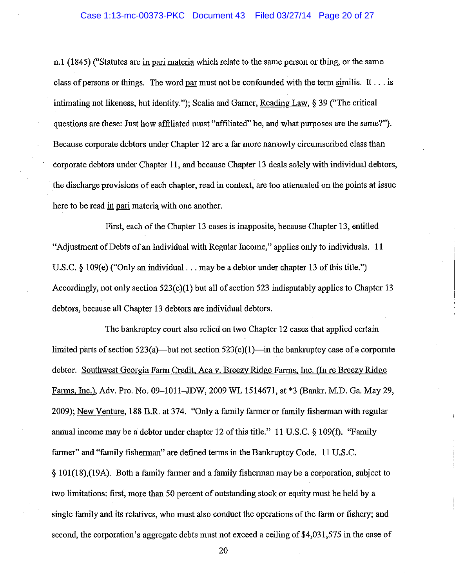n.l (1845) ("Statutes are in pari materia which relate to the same person or thing, or the same class of persons or things. The word par must not be confounded with the term similis. It  $\dots$  is intimating not likeness, but identity."); Scalia and Gamer, Reading Law, § 39 ("The critical questions are these: Just how affiliated must "affiliated" be, and what purposes are the same?"). Because corporate debtors under Chapter 12 are a far more narrowly circumscribed class than corporate debtors under Chapter 11, and because Chapter 13 deals solely with individual debtors, the discharge provisions of each chapter, read in context, are too attenuated on the points at issue here to be read in pari materia with one another.

First, each of the Chapter 13 cases is inapposite, because Chapter 13, entitled "Adjustment of Debts of an Individual with Regular Income," applies only to individuals. 11 U.S.C. § 109(e) ("Only an individual . . . may be a debtor under chapter 13 of this title.") Accordingly, not only section 523(c)(I) but all of section 523 indisputably applies to Chapter 13 debtors, because all Chapter 13 debtors are individual debtors.

The bankruptcy court also relied on two Chapter 12 cases that applied certain limited parts of section  $523(a)$ —but not section  $523(c)(1)$ —in the bankruptcy case of a corporate debtor. Southwest Georgia Farm Credit, Aca v. Breezy Ridge Farms, Inc. (In re Breezy Ridge Farms, Inc.), Adv. Pro. No. 09-1011-JDW, 2009 WL 1514671, at \*3 (Bankr. M.D. Ga. May 29, 2009); New Venture, 188 B.R. at 374. "Only a family farmer or family fisherman with regular annual income may be a debtor under chapter 12 of this title." 11 U.S.c. § 109(f). "Family farmer" and "family fisherman" are defined terms in the Bankruptcy Code. 11 U.S.C. § 101(18),(19A). Both a family farmer and a family fisherman may be a corporation, subject to two limitations: first, more than 50 percent of outstanding stock or equity must be held by a single family and its relatives, who must also conduct the operations of the farm or fishery; and second, the corporation's aggregate debts must not exceed a ceiling of \$4,031,575 in the case of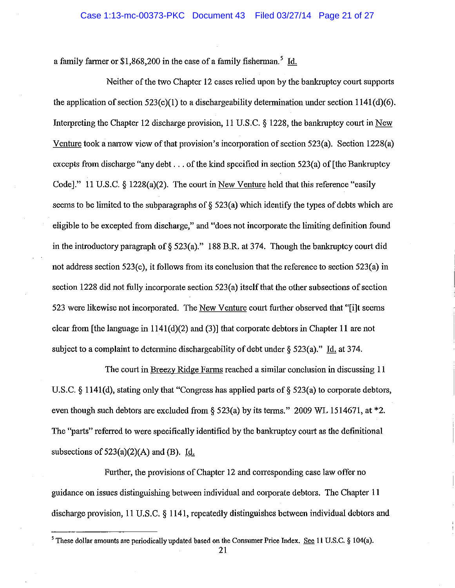a family farmer or  $$1,868,200$  in the case of a family fisherman.<sup>5</sup> Id.

Neither of the two Chapter 12 cases relied upon by the bankruptcy court supports the application of section  $523(c)(1)$  to a dischargeability determination under section  $1141(d)(6)$ . Interpreting the Chapter 12 discharge provision, 11 U.S.C. § 1228, the bankruptcy court in New Venture took a narrow view of that provision's incorporation of section 523(a). Section 1228(a) excepts from discharge "any debt ... of the kind specified in section 523(a) of [the Bankruptcy Code]." 11 U.S.C. § 1228(a)(2). The court in New Venture held that this reference "easily seems to be limited to the subparagraphs of  $\S$  523(a) which identify the types of debts which are eligible to be excepted from discharge," and "does not incorporate the limiting definition found in the introductory paragraph of  $\S$  523(a)." 188 B.R. at 374. Though the bankruptcy court did not address section 523(c), it follows from its conclusion that the reference to section 523(a) in section 1228 did not fully incorporate section 523(a) itself that the other subsections of section 523 were likewise not incorporated. The New Venture court further observed that "[i]t seems clear from [the language in 1 141(d)(2) and (3)] that corporate debtors in Chapter 11 are not subject to a complaint to determine dischargeability of debt under  $\S$  523(a)." Id. at 374.

The court in Breezy Ridge Farms reached a similar conclusion in discussing 11 U.S.C. § 1141(d), stating only that "Congress has applied parts of § 523(a) to corporate debtors, even though such debtors are excluded from § 523(a) by its terms." 2009 WL 1514671, at \*2. The "parts" referred to were specifically identified by the bankruptcy court as the definitional subsections of  $523(a)(2)(A)$  and (B). Id.

Further, the provisions of Chapter 12 and corresponding case law offer no guidance on issues distinguishing between individual and corporate debtors. The Chapter 11 discharge provision, 11 U.S.C. § 1141, repeatedly distinguishes between individual debtors and

<sup>&</sup>lt;sup>5</sup> These dollar amounts are periodically updated based on the Consumer Price Index. See 11 U.S.C. § 104(a).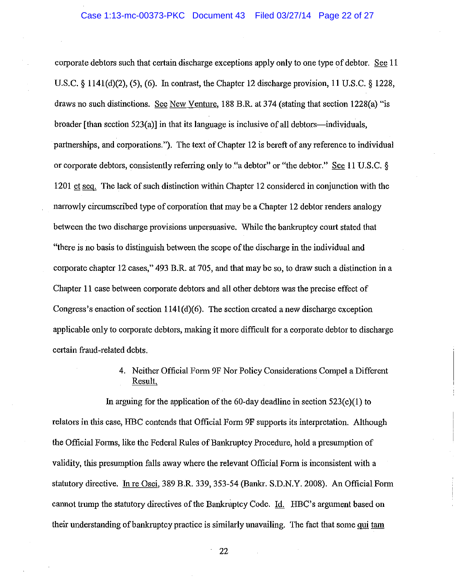corporate debtors such that certain discharge exceptions apply only to one type of debtor. See 11 U.S.C. § 1141(d)(2), (5), (6). In contrast, the Chapter 12 discharge provision, 11 U.S.C. § 1228, draws no such distinctions. See New Venture, 188 B.R. at 374 (stating that section 1228(a) "is broader [than section 523(a)] in that its language is inclusive of all debtors—individuals, partnerships, and corporations."). The text of Chapter 12 is bereft of any reference to individual or corporate debtors, consistently referring only to "a debtor" or "the debtor." See 11 U.S.C. § 1201 et seq. The lack of such distinction within Chapter 12 considered in conjunction with the narrowly circumscribed type of corporation that may be a Chapter 12 debtor renders analogy between the two discharge provisions unpersuasive. While the bankruptcy court stated that "there is no basis to distinguish between the scope of the discharge in the individual and corporate chapter 12 cases," 493 B.R. at 705, and that may be so, to draw such a distinction in a Chapter 11 case between corporate debtors and all other debtors was the precise effect of Congress's enaction of section  $1141(d)(6)$ . The section created a new discharge exception applicable only to corporate debtors, making it more difficult for a corporate debtor to discharge certain fraud-related debts.

> 4. Neither Official Form 9F Nor Policy Considerations Compel a Different Result.

In arguing for the application of the 60-day deadline in section  $523(c)(1)$  to relators in this case, HBC contends that Official Form 9F supports its interpretation. Although the Official Forms, like the Federal Rules of Bankruptcy Procedure, hold a presumption of validity, this presumption falls away where the relevant Official Form is inconsistent with a statutory directive. In re Osei, 389 B.R. 339, 353-54 (Bankr. S.D.N.Y. 2008). An Official Form cannot trump the statutory directives of the Bankruptcy Code.  $Id.$  HBC's argument based on their understanding of bankruptcy practice is similarly unavailing. The fact that some qui tam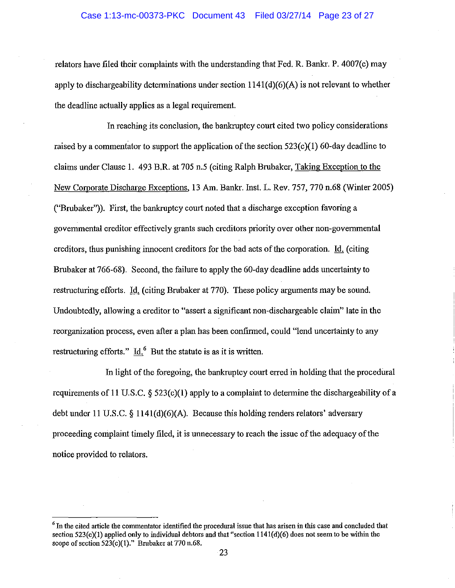relators have filed their complaints with the understanding that Fed. R. Bankr. P. 4007(c) may apply to dischargeability determinations under section  $1141(d)(6)(A)$  is not relevant to whether the deadline actually applies as a legal requirement.

In reaching its conclusion, the bankruptcy court cited two policy considerations raised by a commentator to support the application of the section  $523(c)(1)$  60-day deadline to claims under Clause 1. 493 B.R. at 705 n.5 (citing Ralph Brubaker, Taking Exception to the New Corporate Discharge Exceptions, 13 Am. Bankr. Inst. L. Rev. 757, 770 n.68 (Winter 2005) ("Brubaker")). First, the bankruptcy court noted that a discharge exception favoring a governmental creditor effectively grants such creditors priority over other non-governmental creditors, thus punishing innocent creditors for the bad acts of the corporation. Id. (citing Brubaker at 766-68). Second, the failure to apply the 60-day deadline adds uncertainty to restructuring efforts. *Id.* (citing Brubaker at 770). These policy arguments may be sound. Undoubtedly, allowing a creditor to "assert a significant non-dischargeable claim" late in the reorganization process, even after a plan has been confirmed, could "lend uncertainty to any restructuring efforts." Id. $<sup>6</sup>$  But the statute is as it is written.</sup>

In light of the foregoing, the bankruptcy court erred in holding that the procedural requirements of 11 U.S.C.  $\S$  523(c)(1) apply to a complaint to determine the dischargeability of a debt under 11 U.S.C. § 1141(d)(6)(A). Because this holding renders relators' adversary proceeding complaint timely filed, it is unnecessary to reach the issue of the adequacy of the notice provided to relators.

<sup>&</sup>lt;sup>6</sup> In the cited article the commentator identified the procedural issue that has arisen in this case and concluded that section  $523(c)(1)$  applied only to individual debtors and that "section  $1141(d)(6)$  does not seem to be within the scope of section 523(c)(1)." Brubaker at 770 n.68.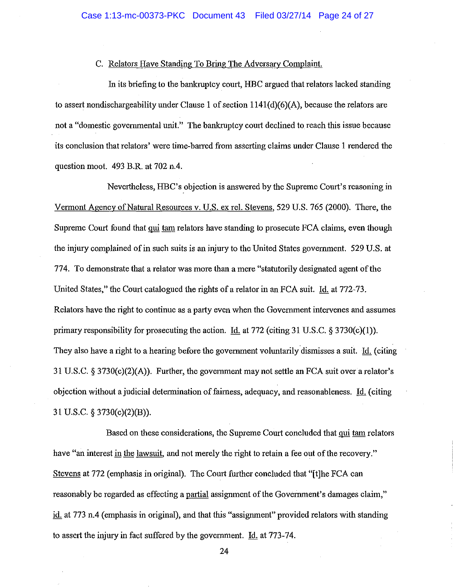## C. Relators Have Standing To Bring The Adversary Complaint.

In its briefing to the bankruptcy court, HBC argued that relators lacked standing to assert nondischargeability under Clause 1 of section  $1141(d)(6)(A)$ , because the relators are not a "domestic governmental unit." The bankruptcy court declined to reach this issue because its conclusion that relators' were time-barred from asserting claims under Clause 1 rendered the question moot. 493 B.R. at 702 n.4.

Nevertheless, HBC's objection is answered by the Supreme Court's reasoning in Vermont Agency of Natural Resources v. U.S. ex reI. Stevens, 529 U.S. 765 (2000). There, the Supreme Court found that qui tam relators have standing to prosecute FCA claims, even though the injury complained of in such suits is an injury to the United States government. 529 U.S. at 774. To demonstrate that a relator was more than a mere "statutorily designated agent of the United States," the Court catalogued the rights of a relator in an FCA suit. Id. at 772-73. Relators have the right to continue as a party even when the Government intervenes and assumes primary responsibility for prosecuting the action. Id. at 772 (citing 31 U.S.C.  $\S 3730(c)(1)$ ). They also have a right to a hearing before the government voluntarily dismisses a suit. Id. (citing 31 U.S.C. § 3730(c)(2)(A)). Further, the government may not settle an FCA suit over a relator's objection without a judicial determination of fairness, adequacy, and reasonableness. Id. (citing 31 U.S.C. § 3730(c)(2)(B)).

Based on these considerations, the Supreme Court concluded that qui tam relators have "an interest in the lawsuit, and not merely the right to retain a fee out of the recovery." Stevens at 772 (emphasis in original). The Court further concluded that "[t]he FCA can reasonably be regarded as effecting a partial assignment of the Government's damages claim," id. at 773 n.4 (emphasis in original), and that this "assignment" provided relators with standing to assert the injury in fact suffered by the government. Id. at 773-74.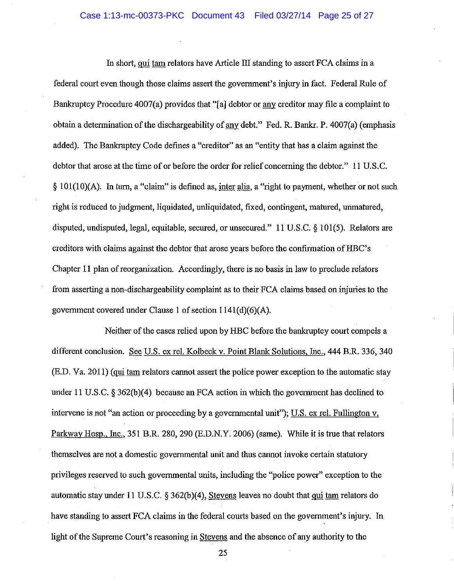In short, qui tam relators have Article III standing to assert FCA claims in a federal court even though those claims assert the government's injury in fact. Federal Rule of Bankruptcy Procedure 4007(a) provides that "al debtor or any creditor may file a complaint to obtain a determination of the dischargeability of any debt." Fed. R. Bankr. P. 4007(a) (emphasis added). The Bankruptcy Code defmes a "creditor" as an "entity that has a claim against the debtor that arose at the time of or before the order for relief concerning the debtor." **11** U.S.c. § 101(1O)(A). In tum, a "claim" is defined as, inter alia, a "right to payment, whether or not such right is reduced to judgment, liquidated, unliquidated, fixed, contingent, matured, unmatured, disputed, undisputed, legal, equitable, secured, or unsecured." 11 U.S.C. § 101(5). Relators are creditors with claims against the debtor that arose years before the confirmation ofHBC's Chapter 11 plan of reorganization. Accordingly, there is no basis in law to preclude relators from asserting a non-dischargeability complaint as to their FCA claims based on injuries to the government covered under Clause 1 of section  $1141(d)(6)(A)$ .

Neither of the cases relied upon by HBC before the bankruptcy court compels a different conclusion. See U.S. ex reI. Kolbeck v. Point Blank Solutions, Inc., 444 B.R. 336, 340 (E.D. Va. 2011) (qui tam relators cannot assert the police power exception to the automatic stay under 11 U.S.C. § 362(b)(4) because an FCA action in which the government has declined to intervene is not "an action or proceeding by a governmental unit"); U.S. ex rel. Fullington v. Parkway Hosp., Inc., 351 B.R. 280,290 (E.D.N.Y. 2006) (same). While it is true that relators themselves are not a domestic governmental unit and thus cannot invoke certain statutory privileges reserved to such governmental units, including the "police power" exception to the automatic stay under 11 U.S.C.  $\S 362(b)(4)$ , Stevens leaves no doubt that qui tam relators do have standing to assert FCA claims in the federal courts based on the government's injury. In light of the Supreme Court's reasoning in Stevens and the absence of any authority to the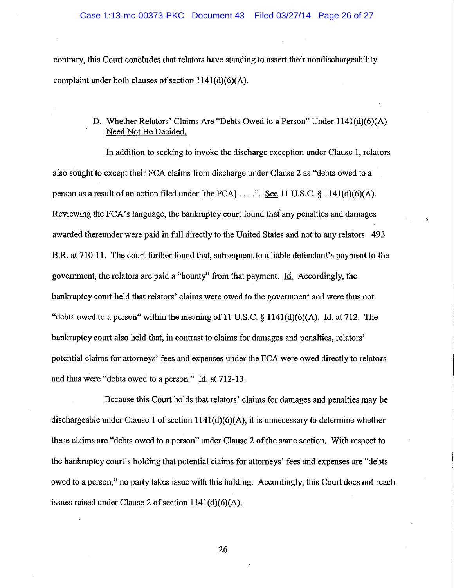contrary, this Court concludes that relators have standing to assert their nondischargeability complaint under both clauses of section 1141(d)(6)(A).

## D. Whether Relators' Claims Are "Debts Owed to a Person" Under 1141(d)(6)(A) Need Not Be Decided.

In addition to seeking to invoke the discharge exception under Clause 1, relators also sought to except their FCA claims from discharge under Clause 2 as "debts owed to a person as a result of an action filed under [the FCA] ....". See 11 U.S.C. § 1141(d)(6)(A). Reviewing the FCA's language, the bankruptcy court found thai any penalties and damages awarded thereunder were paid in **full** directly to the United States and not to any relators. 493 B.R. at 710-11. The court further found that, subsequent to a liable defendant's payment to the government, the relators are paid a ''bounty'' from that payment. Id. Accordingly, the bankruptcy court held that relators' claims were owed to the government and were thus not "debts owed to a person" within the meaning of 11 U.S.C.  $\S$  1141(d)(6)(A). Id. at 712. The bankruptcy court also held that, in contrast to claims for damages and penalties, relators' potential claims for attorneys' fees and expenses under the FCA were owed directly to relators and thus were "debts owed to a person." Id. at 712-13.

Because this Court holds that relators' claims for damages and penalties may be dischargeable under Clause 1 of section  $1141(d)(6)(A)$ , it is unnecessary to determine whether these claims are "debts owed to a person" under Clause 2 of the same section. With respect to the bankruptcy court's holding that potential claims for attorneys' fees and expenses are "debts owed to a person," no party takes issue with this holding. Accordingly, this Court does not reach issues raised under Clause 2 of section 1141(d)(6)(A).